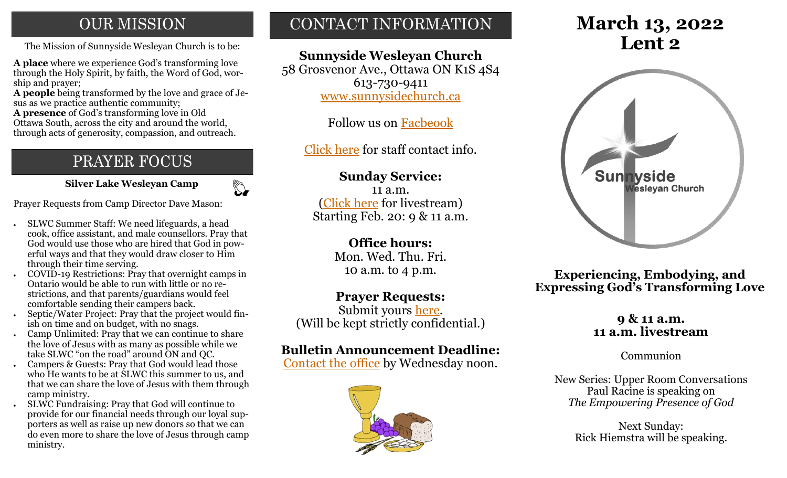## **OUR MISSION**

The Mission of Sunnyside Wesleyan Church is to be: **Lent 2** 

**A place** where we experience God's transforming love through the Holy Spirit, by faith, the Word of God, worship and prayer;

**A people** being transformed by the love and grace of Jesus as we practice authentic community;

**A presence** of God's transforming love in Old Ottawa South, across the city and around the world, through acts of generosity, compassion, and outreach.

## PRAYER FOCUS

 **Silver Lake Wesleyan Camp**

 $\mathbb{Z}$ 

Prayer Requests from Camp Director Dave Mason:

- SLWC Summer Staff: We need lifeguards, a head cook, office assistant, and male counsellors. Pray that God would use those who are hired that God in powerful ways and that they would draw closer to Him through their time serving.
- COVID-19 Restrictions: Pray that overnight camps in Ontario would be able to run with little or no restrictions, and that parents/guardians would feel comfortable sending their campers back.
- Septic/Water Project: Pray that the project would finish on time and on budget, with no snags.
- Camp Unlimited: Pray that we can continue to share the love of Jesus with as many as possible while we take SLWC "on the road" around ON and QC.
- Campers & Guests: Pray that God would lead those who He wants to be at SLWC this summer to us, and that we can share the love of Jesus with them through camp ministry.
- SLWC Fundraising: Pray that God will continue to provide for our financial needs through our loyal supporters as well as raise up new donors so that we can do even more to share the love of Jesus through camp ministry.

## CONTACT INFORMATION

### **Sunnyside Wesleyan Church**

58 Grosvenor Ave., Ottawa ON K1S 4S4 613-730-9411 [www.sunnysidechurch.ca](http://www.sunnysidechurch.ca)

Follow us on [Facbeook](http://www.facebook.com/sunnysidewesleyanchurch)

[Click here](http://www.sunnysidechurch.ca/about-sunnyside/staff/) for staff contact info.

### **Sunday Service:**

11 a.m. [\(Click here](https://youtube.com/channel/UCYfl9Qy37Az7fqqFQpDEwjg) for livestream) Starting Feb. 20: 9 & 11 a.m.

### **Office hours:**

Mon. Wed. Thu. Fri. 10 a.m. to 4 p.m.

### **Prayer Requests:**

Submit yours [here.](mailto:prayer@sunnysidechurch.ca) (Will be kept strictly confidential.)

### **Bulletin Announcement Deadline:**

[Contact the office](mailto:office@sunnysidechurch.ca) by Wednesday noon.



# **March 13, 2022**



**Experiencing, Embodying, and Expressing God's Transforming Love**

#### **9 & 11 a.m. 11 a.m. livestream**

Communion

New Series: Upper Room Conversations Paul Racine is speaking on *The Empowering Presence of God*

> Next Sunday: Rick Hiemstra will be speaking.